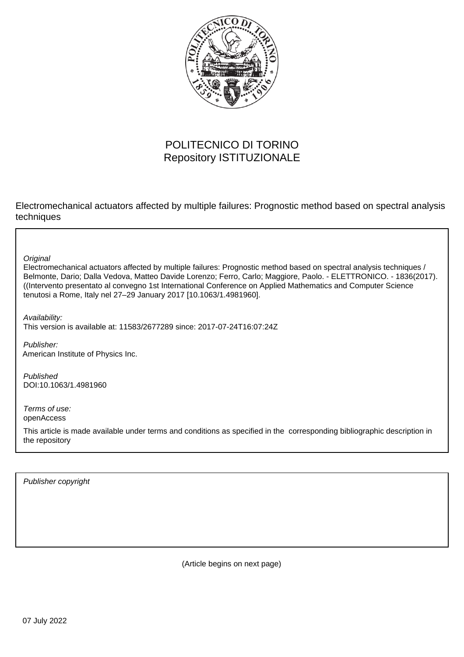

## POLITECNICO DI TORINO Repository ISTITUZIONALE

Electromechanical actuators affected by multiple failures: Prognostic method based on spectral analysis techniques

**Original** 

Electromechanical actuators affected by multiple failures: Prognostic method based on spectral analysis techniques / Belmonte, Dario; Dalla Vedova, Matteo Davide Lorenzo; Ferro, Carlo; Maggiore, Paolo. - ELETTRONICO. - 1836(2017). ((Intervento presentato al convegno 1st International Conference on Applied Mathematics and Computer Science tenutosi a Rome, Italy nel 27–29 January 2017 [10.1063/1.4981960].

Availability: This version is available at: 11583/2677289 since: 2017-07-24T16:07:24Z

Publisher: American Institute of Physics Inc.

Published DOI:10.1063/1.4981960

Terms of use: openAccess

This article is made available under terms and conditions as specified in the corresponding bibliographic description in the repository

Publisher copyright

(Article begins on next page)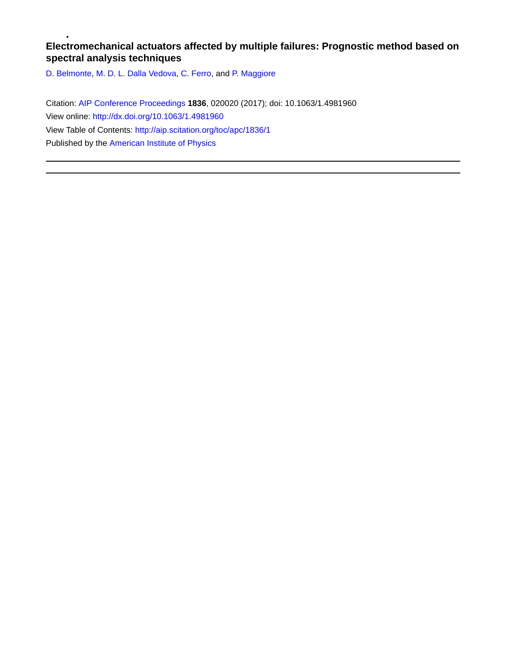### **Electromechanical actuators affected by multiple failures: Prognostic method based on spectral analysis techniques**

[D. Belmonte](http://aip.scitation.org/author/Belmonte%2C+D), [M. D. L. Dalla Vedova,](http://aip.scitation.org/author/Vedova%2C+M+D+L+Dalla) [C. Ferro,](http://aip.scitation.org/author/Ferro%2C+C) and [P. Maggiore](http://aip.scitation.org/author/Maggiore%2C+P)

Citation: [AIP Conference Proceedings](/loi/apc) **1836**, 020020 (2017); doi: 10.1063/1.4981960 View online: <http://dx.doi.org/10.1063/1.4981960> View Table of Contents: <http://aip.scitation.org/toc/apc/1836/1> Published by the [American Institute of Physics](http://aip.scitation.org/publisher/)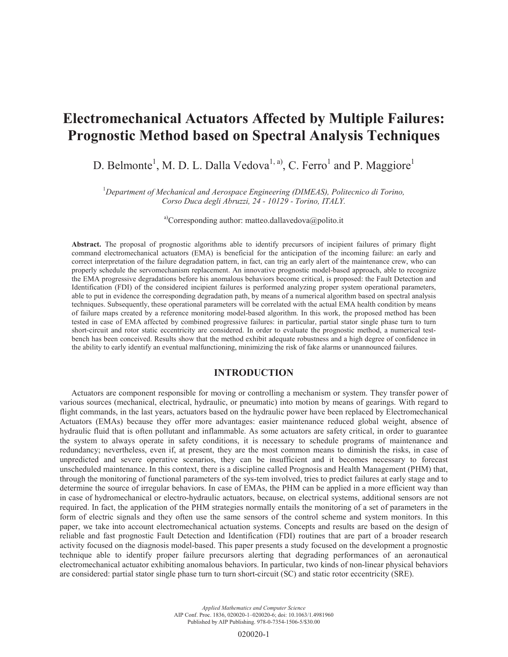# **Electromechanical Actuators Affected by Multiple Failures: Prognostic Method based on Spectral Analysis Techniques**

D. Belmonte<sup>1</sup>, M. D. L. Dalla Vedova<sup>1, a)</sup>, C. Ferro<sup>1</sup> and P. Maggiore<sup>1</sup>

1 *Department of Mechanical and Aerospace Engineering (DIMEAS), Politecnico di Torino, Corso Duca degli Abruzzi, 24 - 10129 - Torino, ITALY.*

<sup>a)</sup>Corresponding author: matteo.dallavedova@polito.it

**Abstract.** The proposal of prognostic algorithms able to identify precursors of incipient failures of primary flight command electromechanical actuators (EMA) is beneficial for the anticipation of the incoming failure: an early and correct interpretation of the failure degradation pattern, in fact, can trig an early alert of the maintenance crew, who can properly schedule the servomechanism replacement. An innovative prognostic model-based approach, able to recognize the EMA progressive degradations before his anomalous behaviors become critical, is proposed: the Fault Detection and Identification (FDI) of the considered incipient failures is performed analyzing proper system operational parameters, able to put in evidence the corresponding degradation path, by means of a numerical algorithm based on spectral analysis techniques. Subsequently, these operational parameters will be correlated with the actual EMA health condition by means of failure maps created by a reference monitoring model-based algorithm. In this work, the proposed method has been tested in case of EMA affected by combined progressive failures: in particular, partial stator single phase turn to turn short-circuit and rotor static eccentricity are considered. In order to evaluate the prognostic method, a numerical testbench has been conceived. Results show that the method exhibit adequate robustness and a high degree of confidence in the ability to early identify an eventual malfunctioning, minimizing the risk of fake alarms or unannounced failures.

#### **INTRODUCTION**

Actuators are component responsible for moving or controlling a mechanism or system. They transfer power of various sources (mechanical, electrical, hydraulic, or pneumatic) into motion by means of gearings. With regard to flight commands, in the last years, actuators based on the hydraulic power have been replaced by Electromechanical Actuators (EMAs) because they offer more advantages: easier maintenance reduced global weight, absence of hydraulic fluid that is often pollutant and inflammable. As some actuators are safety critical, in order to guarantee the system to always operate in safety conditions, it is necessary to schedule programs of maintenance and redundancy; nevertheless, even if, at present, they are the most common means to diminish the risks, in case of unpredicted and severe operative scenarios, they can be insufficient and it becomes necessary to forecast unscheduled maintenance. In this context, there is a discipline called Prognosis and Health Management (PHM) that, through the monitoring of functional parameters of the sys-tem involved, tries to predict failures at early stage and to determine the source of irregular behaviors. In case of EMAs, the PHM can be applied in a more efficient way than in case of hydromechanical or electro-hydraulic actuators, because, on electrical systems, additional sensors are not required. In fact, the application of the PHM strategies normally entails the monitoring of a set of parameters in the form of electric signals and they often use the same sensors of the control scheme and system monitors. In this paper, we take into account electromechanical actuation systems. Concepts and results are based on the design of reliable and fast prognostic Fault Detection and Identification (FDI) routines that are part of a broader research activity focused on the diagnosis model-based. This paper presents a study focused on the development a prognostic technique able to identify proper failure precursors alerting that degrading performances of an aeronautical electromechanical actuator exhibiting anomalous behaviors. In particular, two kinds of non-linear physical behaviors are considered: partial stator single phase turn to turn short-circuit (SC) and static rotor eccentricity (SRE).

> *Applied Mathematics and Computer Science* AIP Conf. Proc. 1836, 020020-1–020020-6; doi: 10.1063/1.4981960 Published by AIP Publishing. 978-0-7354-1506-5/\$30.00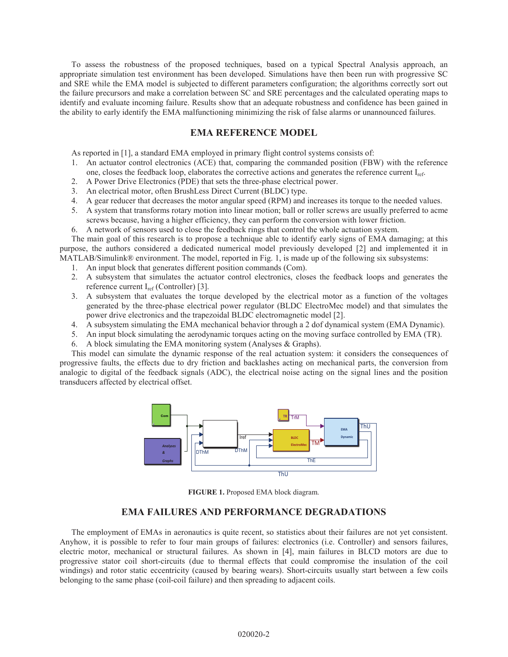To assess the robustness of the proposed techniques, based on a typical Spectral Analysis approach, an appropriate simulation test environment has been developed. Simulations have then been run with progressive SC and SRE while the EMA model is subjected to different parameters configuration; the algorithms correctly sort out the failure precursors and make a correlation between SC and SRE percentages and the calculated operating maps to identify and evaluate incoming failure. Results show that an adequate robustness and confidence has been gained in the ability to early identify the EMA malfunctioning minimizing the risk of false alarms or unannounced failures.

#### **EMA REFERENCE MODEL**

As reported in [1], a standard EMA employed in primary flight control systems consists of:

- 1. An actuator control electronics (ACE) that, comparing the commanded position (FBW) with the reference one, closes the feedback loop, elaborates the corrective actions and generates the reference current Iref.
- 2. A Power Drive Electronics (PDE) that sets the three-phase electrical power.
- 3. An electrical motor, often BrushLess Direct Current (BLDC) type.
- 4. A gear reducer that decreases the motor angular speed (RPM) and increases its torque to the needed values.
- 5. A system that transforms rotary motion into linear motion; ball or roller screws are usually preferred to acme screws because, having a higher efficiency, they can perform the conversion with lower friction.
- 6. A network of sensors used to close the feedback rings that control the whole actuation system.

The main goal of this research is to propose a technique able to identify early signs of EMA damaging; at this purpose, the authors considered a dedicated numerical model previously developed [2] and implemented it in MATLAB/Simulink<sup>®</sup> environment. The model, reported in Fig. 1, is made up of the following six subsystems:

- 1. An input block that generates different position commands (Com).
- 2. A subsystem that simulates the actuator control electronics, closes the feedback loops and generates the reference current Iref (Controller) [3].
- 3. A subsystem that evaluates the torque developed by the electrical motor as a function of the voltages generated by the three-phase electrical power regulator (BLDC ElectroMec model) and that simulates the power drive electronics and the trapezoidal BLDC electromagnetic model [2].
- 4. A subsystem simulating the EMA mechanical behavior through a 2 dof dynamical system (EMA Dynamic).
- 5. An input block simulating the aerodynamic torques acting on the moving surface controlled by EMA (TR).
- 6. A block simulating the EMA monitoring system (Analyses & Graphs).

This model can simulate the dynamic response of the real actuation system: it considers the consequences of progressive faults, the effects due to dry friction and backlashes acting on mechanical parts, the conversion from analogic to digital of the feedback signals (ADC), the electrical noise acting on the signal lines and the position transducers affected by electrical offset.



**FIGURE 1.** Proposed EMA block diagram.

#### **EMA FAILURES AND PERFORMANCE DEGRADATIONS**

The employment of EMAs in aeronautics is quite recent, so statistics about their failures are not yet consistent. Anyhow, it is possible to refer to four main groups of failures: electronics (i.e. Controller) and sensors failures, electric motor, mechanical or structural failures. As shown in [4], main failures in BLCD motors are due to progressive stator coil short-circuits (due to thermal effects that could compromise the insulation of the coil windings) and rotor static eccentricity (caused by bearing wears). Short-circuits usually start between a few coils belonging to the same phase (coil-coil failure) and then spreading to adjacent coils.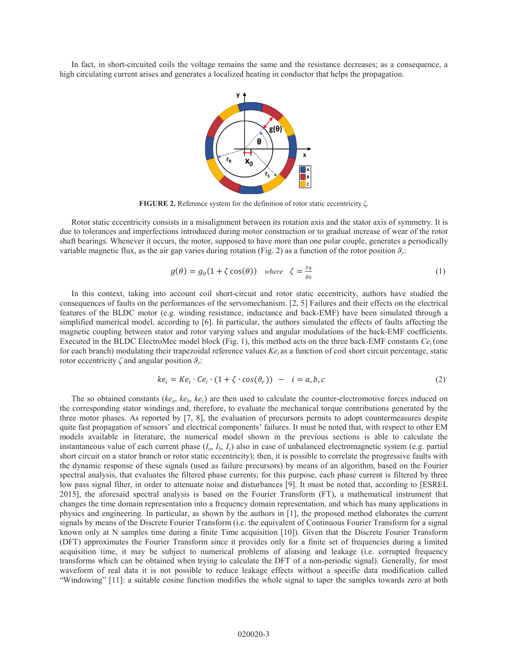In fact, in short-circuited coils the voltage remains the same and the resistance decreases; as a consequence, a high circulating current arises and generates a localized heating in conductor that helps the propagation.



**FIGURE 2.** Reference system for the definition of rotor static eccentricity  $\zeta$ .

Rotor static eccentricity consists in a misalignment between its rotation axis and the stator axis of symmetry. It is due to tolerances and imperfections introduced during motor construction or to gradual increase of wear of the rotor shaft bearings. Whenever it occurs, the motor, supposed to have more than one polar couple, generates a periodically variable magnetic flux, as the air gap varies during rotation (Fig. 2) as a function of the rotor position  $\theta_r$ :

$$
g(\theta) = g_0(1 + \zeta \cos(\theta)) \quad \text{where} \quad \zeta = \frac{x_0}{g_0} \tag{1}
$$

In this context, taking into account coil short-circuit and rotor static eccentricity, authors have studied the consequences of faults on the performances of the servomechanism. [2, 5] Failures and their effects on the electrical features of the BLDC motor (e.g. winding resistance, inductance and back-EMF) have been simulated through a simplified numerical model, according to [6]. In particular, the authors simulated the effects of faults affecting the magnetic coupling between stator and rotor varying values and angular modulations of the back-EMF coefficients. Executed in the BLDC ElectroMec model block (Fig. 1), this method acts on the three back-EMF constants *Ce<sub>i</sub>* (one for each branch) modulating their trapezoidal reference values *Kei* as a function of coil short circuit percentage, static rotor eccentricity  $\zeta$  and angular position  $\vartheta_r$ :

$$
ke_i = Ke_i \cdot Ce_i \cdot (1 + \zeta \cdot cos(\vartheta_r)) - i = a, b, c \tag{2}
$$

The so obtained constants ( $ke_a$ ,  $ke_b$ ,  $ke_c$ ) are then used to calculate the counter-electromotive forces induced on the corresponding stator windings and, therefore, to evaluate the mechanical torque contributions generated by the three motor phases. As reported by [7, 8], the evaluation of precursors permits to adopt countermeasures despite quite fast propagation of sensors' and electrical components' failures. It must be noted that, with respect to other EM models available in literature, the numerical model shown in the previous sections is able to calculate the instantaneous value of each current phase (*Ia*, *Ib*, *Ic*) also in case of unbalanced electromagnetic system (e.g. partial short circuit on a stator branch or rotor static eccentricity); then, it is possible to correlate the progressive faults with the dynamic response of these signals (used as failure precursors) by means of an algorithm, based on the Fourier spectral analysis, that evaluates the filtered phase currents; for this purpose, each phase current is filtered by three low pass signal filter, in order to attenuate noise and disturbances [9]. It must be noted that, according to [ESREL 2015], the aforesaid spectral analysis is based on the Fourier Transform (FT), a mathematical instrument that changes the time domain representation into a frequency domain representation, and which has many applications in physics and engineering. In particular, as shown by the authors in [1], the proposed method elaborates the current signals by means of the Discrete Fourier Transform (i.e. the equivalent of Continuous Fourier Transform for a signal known only at N samples time during a finite Time acquisition [10]). Given that the Discrete Fourier Transform (DFT) approximates the Fourier Transform since it provides only for a finite set of frequencies during a limited acquisition time, it may be subject to numerical problems of aliasing and leakage (i.e. corrupted frequency transforms which can be obtained when trying to calculate the DFT of a non-periodic signal). Generally, for most waveform of real data it is not possible to reduce leakage effects without a specific data modification called "Windowing" [11]: a suitable cosine function modifies the whole signal to taper the samples towards zero at both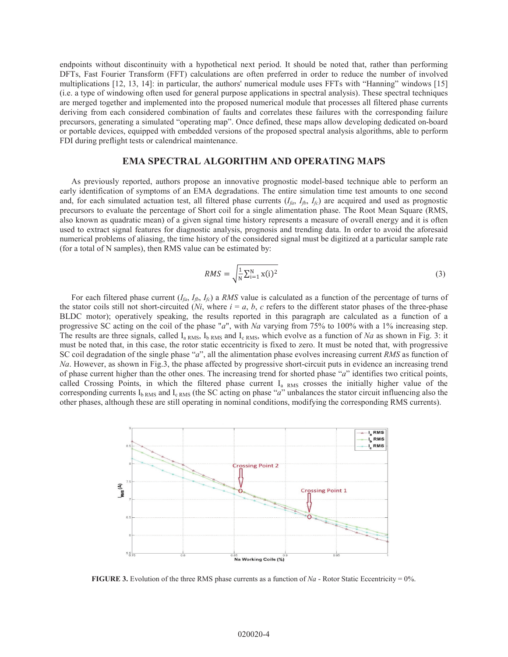endpoints without discontinuity with a hypothetical next period. It should be noted that, rather than performing DFTs, Fast Fourier Transform (FFT) calculations are often preferred in order to reduce the number of involved multiplications [12, 13, 14]: in particular, the authors' numerical module uses FFTs with "Hanning" windows [15] (i.e. a type of windowing often used for general purpose applications in spectral analysis). These spectral techniques are merged together and implemented into the proposed numerical module that processes all filtered phase currents deriving from each considered combination of faults and correlates these failures with the corresponding failure precursors, generating a simulated "operating map". Once defined, these maps allow developing dedicated on-board or portable devices, equipped with embedded versions of the proposed spectral analysis algorithms, able to perform FDI during preflight tests or calendrical maintenance.

#### **EMA SPECTRAL ALGORITHM AND OPERATING MAPS**

As previously reported, authors propose an innovative prognostic model-based technique able to perform an early identification of symptoms of an EMA degradations. The entire simulation time test amounts to one second and, for each simulated actuation test, all filtered phase currents  $(I_{fa}, I_{fb}, I_{fc})$  are acquired and used as prognostic precursors to evaluate the percentage of Short coil for a single alimentation phase. The Root Mean Square (RMS, also known as quadratic mean) of a given signal time history represents a measure of overall energy and it is often used to extract signal features for diagnostic analysis, prognosis and trending data. In order to avoid the aforesaid numerical problems of aliasing, the time history of the considered signal must be digitized at a particular sample rate (for a total of N samples), then RMS value can be estimated by:

$$
RMS = \sqrt{\frac{1}{N} \sum_{i=1}^{N} x(i)^2}
$$
\n(3)

For each filtered phase current  $(I_{fa}, I_{fb}, I_{fc})$  a *RMS* value is calculated as a function of the percentage of turns of the stator coils still not short-circuited ( $Ni$ , where  $i = a, b, c$  refers to the different stator phases of the three-phase BLDC motor); operatively speaking, the results reported in this paragraph are calculated as a function of a progressive SC acting on the coil of the phase "*a*", with *Na* varying from 75% to 100% with a 1% increasing step. The results are three signals, called  $I_{a RMS}$ ,  $I_{b RMS}$  and  $I_{c RMS}$ , which evolve as a function of *Na* as shown in Fig. 3: it must be noted that, in this case, the rotor static eccentricity is fixed to zero. It must be noted that, with progressive SC coil degradation of the single phase "*a*", all the alimentation phase evolves increasing current *RMS* as function of *Na*. However, as shown in Fig.3, the phase affected by progressive short-circuit puts in evidence an increasing trend of phase current higher than the other ones. The increasing trend for shorted phase "*a*" identifies two critical points, called Crossing Points, in which the filtered phase current  $I_{a RMS}$  crosses the initially higher value of the corresponding currents I<sub>b RMS</sub> and I<sub>c RMS</sub> (the SC acting on phase "*a*" unbalances the stator circuit influencing also the other phases, although these are still operating in nominal conditions, modifying the corresponding RMS currents).



**FIGURE 3.** Evolution of the three RMS phase currents as a function of  $Na$  - Rotor Static Eccentricity = 0%.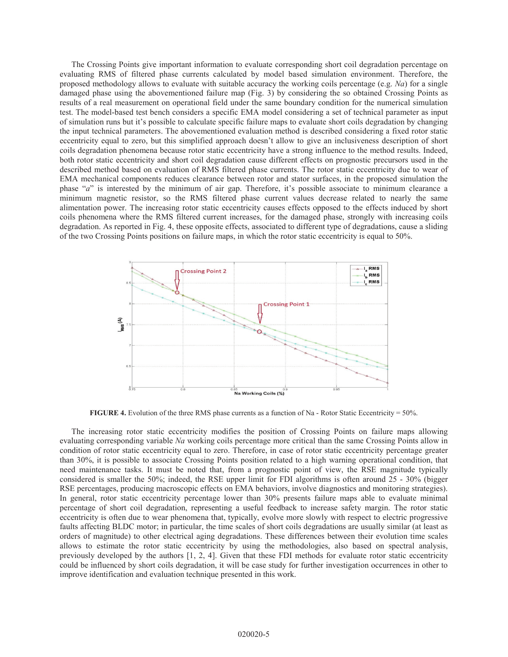The Crossing Points give important information to evaluate corresponding short coil degradation percentage on evaluating RMS of filtered phase currents calculated by model based simulation environment. Therefore, the proposed methodology allows to evaluate with suitable accuracy the working coils percentage (e.g. *Na*) for a single damaged phase using the abovementioned failure map (Fig. 3) by considering the so obtained Crossing Points as results of a real measurement on operational field under the same boundary condition for the numerical simulation test. The model-based test bench considers a specific EMA model considering a set of technical parameter as input of simulation runs but it's possible to calculate specific failure maps to evaluate short coils degradation by changing the input technical parameters. The abovementioned evaluation method is described considering a fixed rotor static eccentricity equal to zero, but this simplified approach doesn't allow to give an inclusiveness description of short coils degradation phenomena because rotor static eccentricity have a strong influence to the method results. Indeed, both rotor static eccentricity and short coil degradation cause different effects on prognostic precursors used in the described method based on evaluation of RMS filtered phase currents. The rotor static eccentricity due to wear of EMA mechanical components reduces clearance between rotor and stator surfaces, in the proposed simulation the phase "*a*" is interested by the minimum of air gap. Therefore, it's possible associate to minimum clearance a minimum magnetic resistor, so the RMS filtered phase current values decrease related to nearly the same alimentation power. The increasing rotor static eccentricity causes effects opposed to the effects induced by short coils phenomena where the RMS filtered current increases, for the damaged phase, strongly with increasing coils degradation. As reported in Fig. 4, these opposite effects, associated to different type of degradations, cause a sliding of the two Crossing Points positions on failure maps, in which the rotor static eccentricity is equal to 50%.



**FIGURE 4.** Evolution of the three RMS phase currents as a function of Na - Rotor Static Eccentricity = 50%.

The increasing rotor static eccentricity modifies the position of Crossing Points on failure maps allowing evaluating corresponding variable *Na* working coils percentage more critical than the same Crossing Points allow in condition of rotor static eccentricity equal to zero. Therefore, in case of rotor static eccentricity percentage greater than 30%, it is possible to associate Crossing Points position related to a high warning operational condition, that need maintenance tasks. It must be noted that, from a prognostic point of view, the RSE magnitude typically considered is smaller the 50%; indeed, the RSE upper limit for FDI algorithms is often around 25 - 30% (bigger RSE percentages, producing macroscopic effects on EMA behaviors, involve diagnostics and monitoring strategies). In general, rotor static eccentricity percentage lower than 30% presents failure maps able to evaluate minimal percentage of short coil degradation, representing a useful feedback to increase safety margin. The rotor static eccentricity is often due to wear phenomena that, typically, evolve more slowly with respect to electric progressive faults affecting BLDC motor; in particular, the time scales of short coils degradations are usually similar (at least as orders of magnitude) to other electrical aging degradations. These differences between their evolution time scales allows to estimate the rotor static eccentricity by using the methodologies, also based on spectral analysis, previously developed by the authors [1, 2, 4]. Given that these FDI methods for evaluate rotor static eccentricity could be influenced by short coils degradation, it will be case study for further investigation occurrences in other to improve identification and evaluation technique presented in this work.